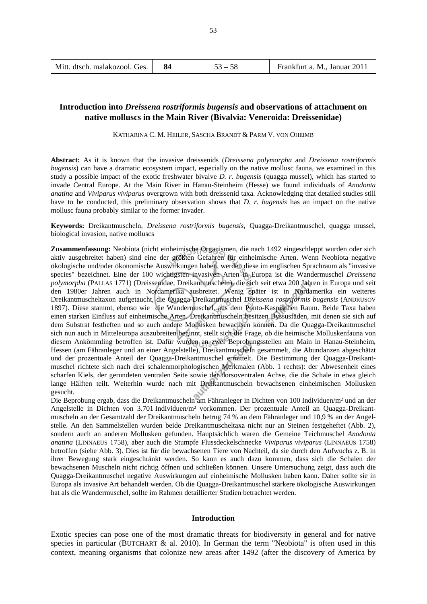| Mitt. dtsch. malakozool. Ges. |  | $53 - 58$ | Frankfurt a. M., Januar 2011 |
|-------------------------------|--|-----------|------------------------------|
|-------------------------------|--|-----------|------------------------------|

## **Introduction into** *Dreissena rostriformis bugensis* **and observations of attachment on native molluscs in the Main River (Bivalvia: Veneroida: Dreissenidae)**

KATHARINA C. M. HEILER, SASCHA BRANDT & PARM V. VON OHEIMB

**Abstract:** As it is known that the invasive dreissenids (*Dreissena polymorpha* and *Dreissena rostriformis bugensis*) can have a dramatic ecosystem impact, especially on the native mollusc fauna, we examined in this study a possible impact of the exotic freshwater bivalve *D. r. bugensis* (quagga mussel), which has started to invade Central Europe. At the Main River in Hanau-Steinheim (Hesse) we found individuals of *Anodonta anatina* and *Viviparus viviparus* overgrown with both dreissenid taxa. Acknowledging that detailed studies still have to be conducted, this preliminary observation shows that *D. r. bugensis* has an impact on the native mollusc fauna probably similar to the former invader.

**Keywords:** Dreikantmuscheln, *Dreissena rostriformis bugensis*, Quagga-Dreikantmuschel, quagga mussel, biological invasion, native molluscs

**Zusammenfassung:** Neobiota (nicht einheimische Organismen, die nach 1492 eingeschleppt wurden oder sich aktiv ausgebreitet haben) sind eine der größten Gefahren für einheimische Arten. Wenn Neobiota negative ökologische und/oder ökonomische Auswirkungen haben, werden diese im englischen Sprachraum als "invasive species" bezeichnet. Eine der 100 wichtigsten invasiven Arten in Europa ist die Wandermuschel *Dreissena polymorpha* (PALLAS 1771) (Dreissenidae, Dreikantmuscheln), die sich seit etwa 200 Jahren in Europa und seit den 1980er Jahren auch in Nordamerika ausbreitet. Wenig später ist in Nordamerika ein weiteres Dreikantmuscheltaxon aufgetaucht, die Quagga-Dreikantmuschel *Dreissena rostriformis bugensis* (ANDRUSOV 1897). Diese stammt, ebenso wie die Wandermuschel, aus dem Ponto-Kaspischen Raum. Beide Taxa haben einen starken Einfluss auf einheimische Arten. Dreikantmuscheln besitzen Byssusfäden, mit denen sie sich auf dem Substrat festheften und so auch andere Mollusken bewachsen können. Da die Quagga-Dreikantmuschel sich nun auch in Mitteleuropa auszubreiten beginnt, stellt sich die Frage, ob die heimische Molluskenfauna von diesem Ankömmling betroffen ist. Dafür wurden an zwei Beprobungsstellen am Main in Hanau-Steinheim, Hessen (am Fähranleger und an einer Angelstelle), Dreikantmuscheln gesammelt, die Abundanzen abgeschätzt und der prozentuale Anteil der Quagga-Dreikantmuschel ermittelt. Die Bestimmung der Quagga-Dreikantmuschel richtete sich nach drei schalenmorphologischen Merkmalen (Abb. 1 rechts): der Abwesenheit eines scharfen Kiels, der gerundeten ventralen Seite sowie der dorsoventralen Achse, die die Schale in etwa gleich lange Hälften teilt. Weiterhin wurde nach mit Dreikantmuscheln bewachsenen einheimischen Mollusken gesucht.

Die Beprobung ergab, dass die Dreikantmuscheln am Fähranleger in Dichten von 100 Individuen/m² und an der Angelstelle in Dichten von 3.701 Individuen/m² vorkommen. Der prozentuale Anteil an Quagga-Dreikantmuscheln an der Gesamtzahl der Dreikantmuscheln betrug 74 % an dem Fähranleger und 10,9 % an der Angelstelle. An den Sammelstellen wurden beide Dreikantmuscheltaxa nicht nur an Steinen festgeheftet (Abb. 2), sondern auch an anderen Mollusken gefunden. Hauptsächlich waren die Gemeine Teichmuschel *Anodonta anatina* (LINNAEUS 1758), aber auch die Stumpfe Flussdeckelschnecke *Viviparus viviparus* (LINNAEUS 1758) betroffen (siehe Abb. 3). Dies ist für die bewachsenen Tiere von Nachteil, da sie durch den Aufwuchs z. B. in ihrer Bewegung stark eingeschränkt werden. So kann es auch dazu kommen, dass sich die Schalen der bewachsenen Muscheln nicht richtig öffnen und schließen können. Unsere Untersuchung zeigt, dass auch die Quagga-Dreikantmuschel negative Auswirkungen auf einheimische Mollusken haben kann. Daher sollte sie in Europa als invasive Art behandelt werden. Ob die Quagga-Dreikantmuschel stärkere ökologische Auswirkungen hat als die Wandermuschel, sollte im Rahmen detaillierter Studien betrachtet werden.

### **Introduction**

Exotic species can pose one of the most dramatic threats for biodiversity in general and for native species in particular (BUTCHART & al. 2010). In German the term "Neobiota" is often used in this context, meaning organisms that colonize new areas after 1492 (after the discovery of America by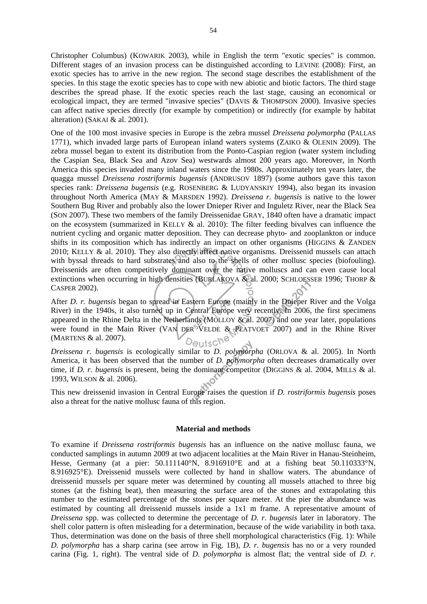Christopher Columbus) (KOWARIK 2003), while in English the term "exotic species" is common. Different stages of an invasion process can be distinguished according to LEVINE (2008): First, an exotic species has to arrive in the new region. The second stage describes the establishment of the species. In this stage the exotic species has to cope with new abiotic and biotic factors. The third stage describes the spread phase. If the exotic species reach the last stage, causing an economical or ecological impact, they are termed "invasive species" (DAVIS & THOMPSON 2000). Invasive species can affect native species directly (for example by competition) or indirectly (for example by habitat alteration) (SAKAI & al. 2001).

One of the 100 most invasive species in Europe is the zebra mussel *Dreissena polymorpha* (PALLAS 1771), which invaded large parts of European inland waters systems (ZAIKO & OLENIN 2009). The zebra mussel began to extent its distribution from the Ponto-Caspian region (water system including the Caspian Sea, Black Sea and Azov Sea) westwards almost 200 years ago. Moreover, in North America this species invaded many inland waters since the 1980s. Approximately ten years later, the quagga mussel *Dreissena rostriformis bugensis* (ANDRUSOV 1897) (some authors gave this taxon species rank: *Dreissena bugensis* (e.g. ROSENBERG & LUDYANSKIY 1994), also began its invasion throughout North America (MAY & MARSDEN 1992). *Dreissena r. bugensis* is native to the lower Southern Bug River and probably also the lower Dnieper River and Inguletz River, near the Black Sea (SON 2007). These two members of the family Dreissenidae GRAY, 1840 often have a dramatic impact on the ecosystem (summarized in KELLY  $\&$  al. 2010): The filter feeding bivalves can influence the nutrient cycling and organic matter deposition. They can decrease phyto- and zooplankton or induce shifts in its composition which has indirectly an impact on other organisms (HIGGINS & ZANDEN 2010; KELLY & al. 2010). They also directly affect native organisms. Dreissenid mussels can attach with byssal threads to hard substrates and also to the shells of other mollusc species (biofouling). Dreissenids are often competitively dominant over the native molluscs and can even cause local extinctions when occurring in high densities (BURLAKOVA & al. 2000; SCHLOESSER 1996; THORP & CASPER 2002).

After *D. r. bugensis* began to spread in Eastern Europe (mainly in the Dnieper River and the Volga River) in the 1940s, it also turned up in Central Europe very recently. In 2006, the first specimens appeared in the Rhine Delta in the Netherlands (MOLLOY & al. 2007) and one year later, populations were found in the Main River (VAN DER VELDE & PLATVOET 2007) and in the Rhine River (MARTENS & al. 2007). Deutsch

*Dreissena r. bugensis* is ecologically similar to *D. polymorpha* (ORLOVA & al. 2005). In North America, it has been observed that the number of *D. polymorpha* often decreases dramatically over time, if *D. r. bugensis* is present, being the dominant competitor (DIGGINS & al. 2004, MILLS & al. 1993, WILSON & al. 2006).

This new dreissenid invasion in Central Europe raises the question if *D. rostriformis bugensis* poses also a threat for the native mollusc fauna of this region.

#### **Material and methods**

To examine if *Dreissena rostriformis bugensis* has an influence on the native mollusc fauna, we conducted samplings in autumn 2009 at two adjacent localities at the Main River in Hanau-Steinheim, Hesse, Germany (at a pier: 50.111140°N, 8.916910°E and at a fishing beat 50.110333°N, 8.916925°E). Dreissenid mussels were collected by hand in shallow waters. The abundance of dreissenid mussels per square meter was determined by counting all mussels attached to three big stones (at the fishing beat), then measuring the surface area of the stones and extrapolating this number to the estimated percentage of the stones per square meter. At the pier the abundance was estimated by counting all dreissenid mussels inside a 1x1 m frame. A representative amount of *Dreissena* spp. was collected to determine the percentage of *D. r. bugensis* later in laboratory. The shell color pattern is often misleading for a determination, because of the wide variability in both taxa. Thus, determination was done on the basis of three shell morphological characteristics (Fig. 1): While *D. polymorpha* has a sharp carina (see arrow in Fig. 1B), *D. r. bugensis* has no or a very rounded carina (Fig. 1, right). The ventral side of *D. polymorpha* is almost flat; the ventral side of *D. r.*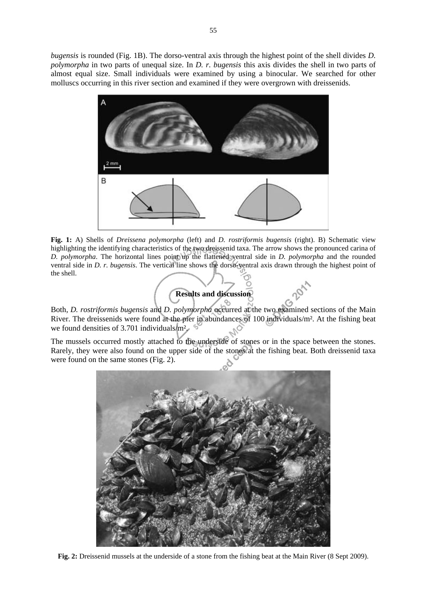*bugensis* is rounded (Fig. 1B). The dorso-ventral axis through the highest point of the shell divides *D. polymorpha* in two parts of unequal size. In *D. r. bugensis* this axis divides the shell in two parts of almost equal size. Small individuals were examined by using a binocular. We searched for other molluscs occurring in this river section and examined if they were overgrown with dreissenids.



**Fig. 1:** A) Shells of *Dreissena polymorpha* (left) and *D. rostriformis bugensis* (right). B) Schematic view highlighting the identifying characteristics of the two dreissenid taxa. The arrow shows the pronounced carina of *D. polymorpha*. The horizontal lines point up the flattened ventral side in *D. polymorpha* and the rounded ventral side in *D. r. bugensis*. The vertical line shows the dorso-ventral axis drawn through the highest point of the shell.

## **Results and discussion**

Both, *D. rostriformis bugensis* and *D. polymorpha* occurred at the two examined sections of the Main River. The dreissenids were found at the pier in abundances of 100 individuals/m². At the fishing beat we found densities of 3.701 individuals/m<sup>2</sup>.

The mussels occurred mostly attached to the underside of stones or in the space between the stones. Rarely, they were also found on the upper side of the stones at the fishing beat. Both dreissenid taxa were found on the same stones (Fig. 2).



**Fig. 2:** Dreissenid mussels at the underside of a stone from the fishing beat at the Main River (8 Sept 2009).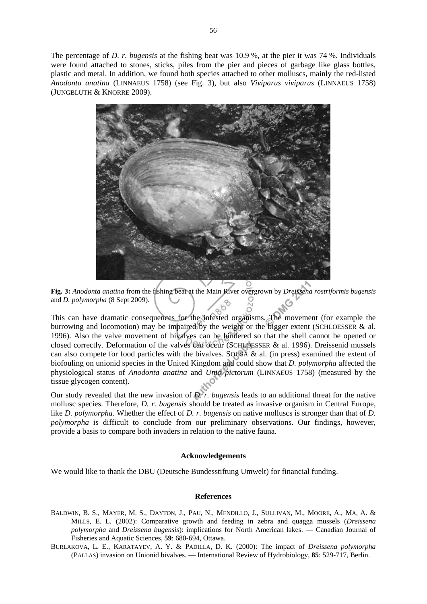The percentage of *D. r. bugensis* at the fishing beat was 10.9 %, at the pier it was 74 %. Individuals were found attached to stones, sticks, piles from the pier and pieces of garbage like glass bottles, plastic and metal. In addition, we found both species attached to other molluscs, mainly the red-listed *Anodonta anatina* (LINNAEUS 1758) (see Fig. 3), but also *Viviparus viviparus* (LINNAEUS 1758) (JUNGBLUTH & KNORRE 2009).





This can have dramatic consequences for the infested organisms. The movement (for example the burrowing and locomotion) may be impaired by the weight or the bigger extent (SCHLOESSER & al. 1996). Also the valve movement of bivalves can be hindered so that the shell cannot be opened or closed correctly. Deformation of the valves can occur (SCHLOESSER & al. 1996). Dreissenid mussels can also compete for food particles with the bivalves. SOUSA  $\&$  al. (in press) examined the extent of biofouling on unionid species in the United Kingdom and could show that *D. polymorpha* affected the physiological status of *Anodonta anatina* and *Unio pictorum* (LINNAEUS 1758) (measured by the tissue glycogen content).

Our study revealed that the new invasion of *D. r. bugensis* leads to an additional threat for the native mollusc species. Therefore, *D. r. bugensis* should be treated as invasive organism in Central Europe, like *D. polymorpha*. Whether the effect of *D. r. bugensis* on native molluscs is stronger than that of *D. polymorpha* is difficult to conclude from our preliminary observations. Our findings, however, provide a basis to compare both invaders in relation to the native fauna.

#### **Acknowledgements**

We would like to thank the DBU (Deutsche Bundesstiftung Umwelt) for financial funding.

#### **References**

- BALDWIN, B. S., MAYER, M. S., DAYTON, J., PAU, N., MENDILLO, J., SULLIVAN, M., MOORE, A., MA, A. & MILLS, E. L. (2002): Comparative growth and feeding in zebra and quagga mussels (*Dreissena polymorpha* and *Dreissena bugensis*): implications for North American lakes. — Canadian Journal of Fisheries and Aquatic Sciences, **59**: 680-694, Ottawa.
- BURLAKOVA, L. E., KARATAYEV, A. Y. & PADILLA, D. K. (2000): The impact of *Dreissena polymorpha* (PALLAS) invasion on Unionid bivalves. — International Review of Hydrobiology, **85**: 529-717, Berlin.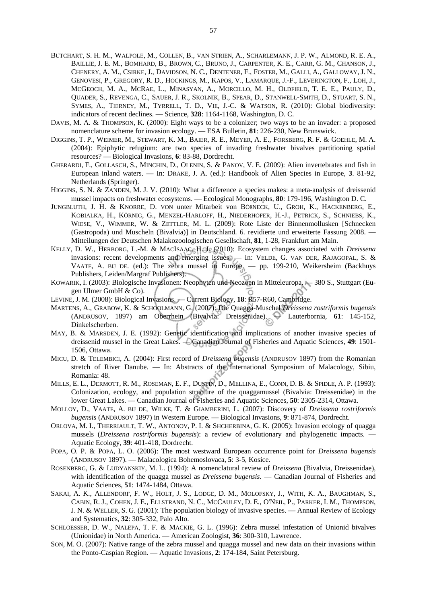- BUTCHART, S. H. M., WALPOLE, M., COLLEN, B., VAN STRIEN, A., SCHARLEMANN, J. P. W., ALMOND, R. E. A., BAILLIE, J. E. M., BOMHARD, B., BROWN, C., BRUNO, J., CARPENTER, K. E., CARR, G. M., CHANSON, J., CHENERY, A. M., CSIRKE, J., DAVIDSON, N. C., DENTENER, F., FOSTER, M., GALLI, A., GALLOWAY, J. N., GENOVESI, P., GREGORY, R. D., HOCKINGS, M., KAPOS, V., LAMARQUE, J.-F., LEVERINGTON, F., LOH, J., MCGEOCH, M. A., MCRAE, L., MINASYAN, A., MORCILLO, M. H., OLDFIELD, T. E. E., PAULY, D., QUADER, S., REVENGA, C., SAUER, J. R., SKOLNIK, B., SPEAR, D., STANWELL-SMITH, D., STUART, S. N., SYMES, A., TIERNEY, M., TYRRELL, T. D., VIE, J.-C. & WATSON, R. (2010): Global biodiversity: indicators of recent declines. — Science, **328**: 1164-1168, Washington, D. C.
- DAVIS, M. A. & THOMPSON, K. (2000): Eight ways to be a colonizer; two ways to be an invader: a proposed nomenclature scheme for invasion ecology. — ESA Bulletin, **81**: 226-230, New Brunswick.
- DIGGINS, T. P., WEIMER, M., STEWART, K. M., BAIER, R. E., MEYER, A. E., FORSBERG, R. F. & GOEHLE, M. A. (2004): Epiphytic refugium: are two species of invading freshwater bivalves partitioning spatial resources? — Biological Invasions, **6**: 83-88, Dordrecht.
- GHERARDI, F., GOLLASCH, S., MINCHIN, D., OLENIN, S. & PANOV, V. E. (2009): Alien invertebrates and fish in European inland waters. — In: DRAKE, J. A. (ed.): Handbook of Alien Species in Europe, **3**. 81-92, Netherlands (Springer).
- HIGGINS, S. N. & ZANDEN, M. J. V. (2010): What a difference a species makes: a meta-analysis of dreissenid mussel impacts on freshwater ecosystems. — Ecological Monographs, **80**: 179-196, Washington D. C.
- JUNGBLUTH, J. H. & KNORRE, D. VON unter Mitarbeit von BÖßNECK, U., GROH, K., HACKENBERG, E., KOBIALKA, H., KÖRNIG, G., MENZEL-HARLOFF, H., NIEDERHÖFER, H.-J., PETRICK, S., SCHNIEBS, K., WIESE, V., WIMMER, W. & ZETTLER, M. L. (2009): Rote Liste der Binnenmollusken [Schnecken (Gastropoda) und Muscheln (Bivalvia)] in Deutschland. 6. revidierte und erweiterte Fassung 2008. — Mitteilungen der Deutschen Malakozoologischen Gesellschaft, **81**, 1-28, Frankfurt am Main.
- KELLY, D. W., HERBORG, L.-M. & MACISAAC, H. J. (2010): Ecosystem changes associated with *Dreissena* invasions: recent developments and emerging issues. — In: VELDE, G. VAN DER, RAJAGOPAL, S. & VAATE, A. BIJ DE. (ed.): The zebra mussel in Europe. — pp. 199-210, Weikersheim (Backhuys Publishers, Leiden/Margraf Publishers).
- KOWARIK, I. (2003): Biologische Invasionen: Neophyten und Neozoen in Mitteleuropa. 380 S., Stuttgart (Eugen Ulmer GmbH & Co).
- LEVINE, J. M. (2008): Biological Invasions. Current Biology, **18**: R57-R60, Cambridge.
- MARTENS, A., GRABOW, K. & SCHOOLMANN, G. (2007): Die Quagga-Muschel *Dreissena rostriformis bugensis* (ANDRUSOV, 1897) am Oberrhein (Bivalvia: Dreissenidae). — Lauterbornia, **61**: 145-152, Dinkelscherben. LØ
- MAY, B. & MARSDEN, J. E. (1992): Genetic identification and implications of another invasive species of dreissenid mussel in the Great Lakes. — Canadian Journal of Fisheries and Aquatic Sciences, **49**: 1501- 1506, Ottawa.
- MICU, D. & TELEMBICI, A. (2004): First record of *Dreissena bugensis* (ANDRUSOV 1897) from the Romanian stretch of River Danube. — In: Abstracts of the International Symposium of Malacology, Sibiu, Romania: 48.
- MILLS, E. L., DERMOTT, R. M., ROSEMAN, E. F., DUSTIN, D., MELLINA, E., CONN, D. B. & SPIDLE, A. P. (1993): Colonization, ecology, and population structure of the quaggamussel (Bivalvia: Dreissenidae) in the lower Great Lakes. — Canadian Journal of Fisheries and Aquatic Sciences, **50**: 2305-2314, Ottawa.
- MOLLOY, D., VAATE, A. BIJ DE, WILKE, T. & GIAMBERINI, L. (2007): Discovery of *Dreissena rostriformis bugensis* (ANDRUSOV 1897) in Western Europe. — Biological Invasions, **9**: 871-874, Dordrecht.
- ORLOVA, M. I., THERRIAULT, T. W., ANTONOV, P. I. & SHCHERBINA, G. K. (2005): Invasion ecology of quagga mussels (*Dreissena rostriformis bugensis*): a review of evolutionary and phylogenetic impacts. — Aquatic Ecology, **39**: 401-418, Dordrecht.
- POPA, O. P. & POPA, L. O. (2006): The most westward European occurrence point for *Dreissena bugensis* (ANDRUSOV 1897). — Malacologica Bohemoslovaca, **5**: 3-5, Kosice.
- ROSENBERG, G. & LUDYANSKIY, M. L. (1994): A nomenclatural review of *Dreissena* (Bivalvia, Dreissenidae), with identification of the quagga mussel as *Dreissena bugensis*. — Canadian Journal of Fisheries and Aquatic Sciences, **51**: 1474-1484, Ottawa.
- SAKAI, A. K., ALLENDORF, F. W., HOLT, J. S., LODGE, D. M., MOLOFSKY, J., WITH, K. A., BAUGHMAN, S., CABIN, R. J., COHEN, J. E., ELLSTRAND, N. C., MCCAULEY, D. E., O'NEIL, P., PARKER, I. M., THOMPSON, J. N. & WELLER, S. G. (2001): The population biology of invasive species. — Annual Review of Ecology and Systematics, **32**: 305-332, Palo Alto.
- SCHLOESSER, D. W., NALEPA, T. F. & MACKIE, G. L. (1996): Zebra mussel infestation of Unionid bivalves (Unionidae) in North America. — American Zoologist, **36**: 300-310, Lawrence.
- SON, M. O. (2007): Native range of the zebra mussel and quagga mussel and new data on their invasions within the Ponto-Caspian Region. — Aquatic Invasions, **2**: 174-184, Saint Petersburg.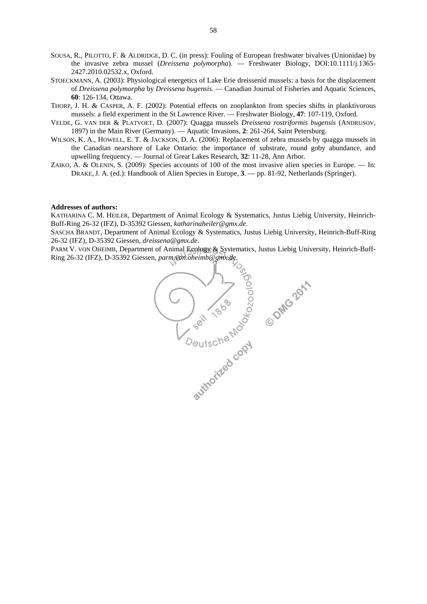- SOUSA, R., PILOTTO, F. & ALDRIDGE, D. C. (in press): Fouling of European freshwater bivalves (Unionidae) by the invasive zebra mussel (*Dreissena polymorpha*). — Freshwater Biology, DOI:10.1111/j.1365- 2427.2010.02532.x, Oxford.
- STOECKMANN, A. (2003): Physiological energetics of Lake Erie dreissenid mussels: a basis for the displacement of *Dreissena polymorpha* by *Dreissena bugensis*. — Canadian Journal of Fisheries and Aquatic Sciences, **60**: 126-134, Ottawa.
- THORP, J. H. & CASPER, A. F. (2002): Potential effects on zooplankton from species shifts in planktivorous mussels: a field experiment in the St Lawrence River. — Freshwater Biology, **47**: 107-119, Oxford.
- VELDE, G. VAN DER & PLATVOET, D. (2007): Quagga mussels *Dreissena rostriformis bugensis* (ANDRUSOV, 1897) in the Main River (Germany). — Aquatic Invasions, **2**: 261-264, Saint Petersburg.
- WILSON, K. A., HOWELL, E. T. & JACKSON, D. A. (2006): Replacement of zebra mussels by quagga mussels in the Canadian nearshore of Lake Ontario: the importance of substrate, round goby abundance, and upwelling frequency. — Journal of Great Lakes Research, **32**: 11-28, Ann Arbor.
- ZAIKO, A. & OLENIN, S. (2009): Species accounts of 100 of the most invasive alien species in Europe. In: DRAKE, J. A. (ed.): Handbook of Alien Species in Europe, **3**. — pp. 81-92, Netherlands (Springer).

#### **Addresses of authors:**

KATHARINA C. M. HEILER, Department of Animal Ecology & Systematics, Justus Liebig University, Heinrich-Buff-Ring 26-32 (IFZ), D-35392 Giessen, *katharinaheiler@gmx.de*.

SASCHA BRANDT, Department of Animal Ecology & Systematics, Justus Liebig University, Heinrich-Buff-Ring

PARM V. VON OHEIMB, Department of Animal Ecology & Systematics, Justus Liebig University, Heinrich-Buff-Ring 26-32 (IFZ), D-35392 Giessen, *parm.von.oheimb@gmx.de*.

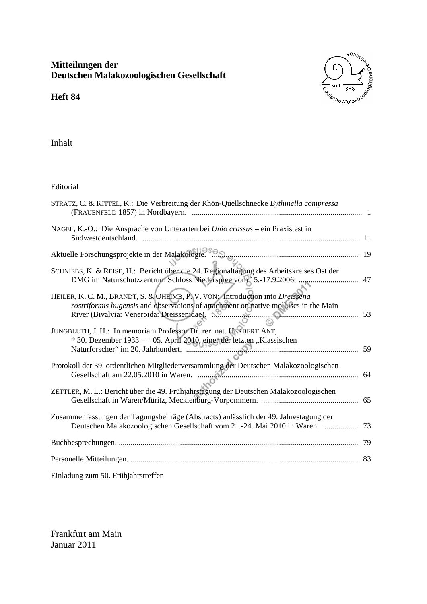# **Mitteilungen der Deutschen Malakozoologischen Gesellschaft**



**Heft 84** 

Inhalt

Editorial

| STRÄTZ, C. & KITTEL, K.: Die Verbreitung der Rhön-Quellschnecke Bythinella compressa                                                                                                                                                       |    |
|--------------------------------------------------------------------------------------------------------------------------------------------------------------------------------------------------------------------------------------------|----|
| NAGEL, K.-O.: Die Ansprache von Unterarten bei Unio crassus – ein Praxistest in                                                                                                                                                            |    |
| Aktuelle Forschungsprojekte in der Malakologie.                                                                                                                                                                                            |    |
| SCHNIEBS, K. & REISE, H.: Bericht über die 24. Regionaltagung des Arbeitskreises Ost der                                                                                                                                                   | 47 |
| HEILER, K. C. M., BRANDT, S. & OHEIMB, P. V. VON: Introduction into Dreissena<br>rostriformis bugensis and observations of attachment on native molluscs in the Main<br>JUNGBLUTH, J. H.: In memoriam Professor Dr. rer. nat. HERBERT ANT, |    |
| * 30. Dezember 1933 - † 05. April 2010, einer der letzten "Klassischen<br>Naturforscher" im 20. Jahrhundert.                                                                                                                               |    |
| Protokoll der 39. ordentlichen Mitgliederversammlung der Deutschen Malakozoologischen                                                                                                                                                      |    |
| ZETTLER, M. L.: Bericht über die 49. Frühjahrstagung der Deutschen Malakozoologischen                                                                                                                                                      |    |
| Zusammenfassungen der Tagungsbeiträge (Abstracts) anlässlich der 49. Jahrestagung der<br>Deutschen Malakozoologischen Gesellschaft vom 21.-24. Mai 2010 in Waren.  73                                                                      |    |
|                                                                                                                                                                                                                                            | 79 |
|                                                                                                                                                                                                                                            | 83 |
| Einladung zum 50. Frühjahrstreffen                                                                                                                                                                                                         |    |

Frankfurt am Main Januar 2011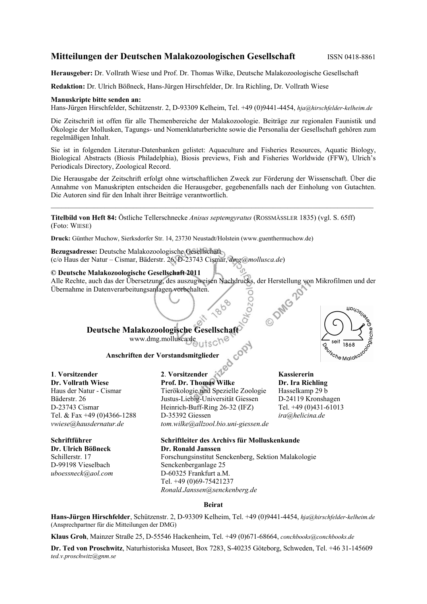## **Mitteilungen der Deutschen Malakozoologischen Gesellschaft** ISSN 0418-8861

**Herausgeber:** Dr. Vollrath Wiese und Prof. Dr. Thomas Wilke, Deutsche Malakozoologische Gesellschaft

**Redaktion:** Dr. Ulrich Bößneck, Hans-Jürgen Hirschfelder, Dr. Ira Richling, Dr. Vollrath Wiese

#### **Manuskripte bitte senden an:**

Hans-Jürgen Hirschfelder, Schützenstr. 2, D-93309 Kelheim, Tel. +49 (0)9441-4454, *hja@hirschfelder-kelheim.de*

Die Zeitschrift ist offen für alle Themenbereiche der Malakozoologie. Beiträge zur regionalen Faunistik und Ökologie der Mollusken, Tagungs- und Nomenklaturberichte sowie die Personalia der Gesellschaft gehören zum regelmäßigen Inhalt.

Sie ist in folgenden Literatur-Datenbanken gelistet: Aquaculture and Fisheries Resources, Aquatic Biology, Biological Abstracts (Biosis Philadelphia), Biosis previews, Fish and Fisheries Worldwide (FFW), Ulrich's Periodicals Directory, Zoological Record.

Die Herausgabe der Zeitschrift erfolgt ohne wirtschaftlichen Zweck zur Förderung der Wissenschaft. Über die Annahme von Manuskripten entscheiden die Herausgeber, gegebenenfalls nach der Einholung von Gutachten. Die Autoren sind für den Inhalt ihrer Beiträge verantwortlich.

 $\_$  , and the set of the set of the set of the set of the set of the set of the set of the set of the set of the set of the set of the set of the set of the set of the set of the set of the set of the set of the set of th

**Titelbild von Heft 84:** Östliche Tellerschnecke *Anisus septemgyratus* (ROSSMÄSSLER 1835) (vgl. S. 65ff) (Foto: WIESE)

**Druck:** Günther Muchow, Sierksdorfer Str. 14, 23730 Neustadt/Holstein (www.guenthermuchow.de)

**Bezugsadresse:** Deutsche Malakozoologische Gesellschaft (c/o Haus der Natur – Cismar, Bäderstr. 26, D-23743 Cismar, *dmg@mollusca.de*)

#### **© Deutsche Malakozoologische Gesellschaft 2011**

Alle Rechte, auch das der Übersetzung, des auszugweisen Nachdrucks, der Herstellung von Mikrofilmen und der Übernahme in Datenverarbeitungsanlagen vorbehalten. O DMG

## **Deutsche Malakozoologische Gesellschaft**  www.dmg.mollusca.de

**Anschriften der Vorstandsmitglieder** 

**1**. **Vorsitzender** 

**Dr. Vollrath Wiese**  Haus der Natur - Cismar Bäderstr. 26 D-23743 Cismar Tel. & Fax +49 (0)4366-1288 *vwiese@hausdernatur.de*

**Schriftführer Dr. Ulrich Bößneck**  Schillerstr. 17 D-99198 Vieselbach *uboessneck@aol.com*  **2**. **Vorsitzender Prof. Dr. Thomas Wilke** 

Tierökologie und Spezielle Zoologie Justus-Liebig-Universität Giessen Heinrich-Buff-Ring 26-32 (IFZ) D-35392 Giessen *tom.wilke@allzool.bio.uni-giessen.de*

**Kassiererin Dr. Ira Richling**  Hasselkamp 29 b D-24119 Kronshagen Tel. +49 (0)431-61013 *ira@helicina.de* 

#### **Schriftleiter des Archivs für Molluskenkunde Dr. Ronald Janssen**  Forschungsinstitut Senckenberg, Sektion Malakologie Senckenberganlage 25 D-60325 Frankfurt a.M. Tel. +49 (0)69-75421237

*Ronald.Janssen@senckenberg.de*

#### **Beirat**

**Hans-Jürgen Hirschfelder**, Schützenstr. 2, D-93309 Kelheim, Tel. +49 (0)9441-4454, *hja@hirschfelder-kelheim.de*  (Ansprechpartner für die Mitteilungen der DMG)

**Klaus Groh**, Mainzer Straße 25, D-55546 Hackenheim, Tel. +49 (0)671-68664, *conchbooks@conchbooks.de*

**Dr. Ted von Proschwitz**, Naturhistoriska Museet, Box 7283, S-40235 Göteborg, Schweden, Tel. +46 31-145609 *ted.v.proschwitz@gnm.se*